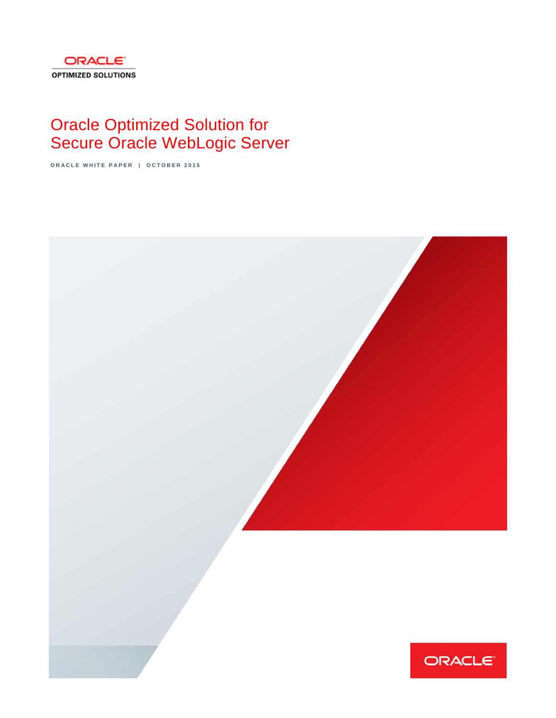

# Oracle Optimized Solution for Secure Oracle WebLogic Server

**O R A C L E W H I T E P A P E R | O C T O B E R 2 0 1 5**

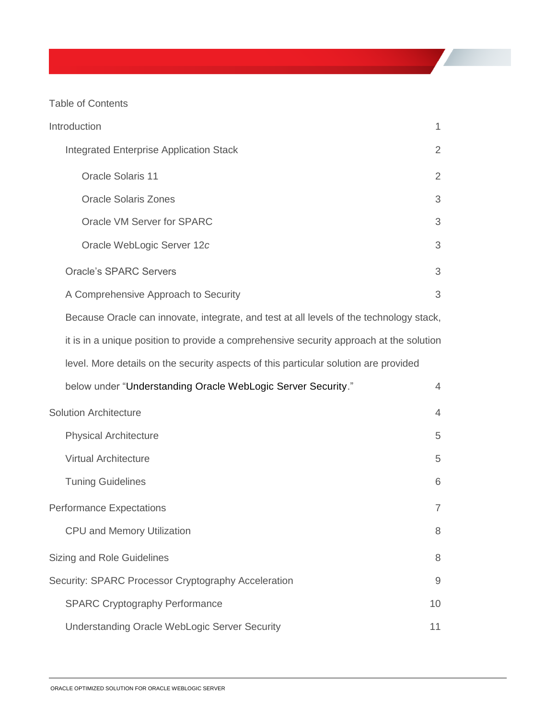Table of Contents

|                                                                                         | Introduction                                                                            | 1              |  |  |
|-----------------------------------------------------------------------------------------|-----------------------------------------------------------------------------------------|----------------|--|--|
|                                                                                         | <b>Integrated Enterprise Application Stack</b>                                          | 2              |  |  |
|                                                                                         | <b>Oracle Solaris 11</b>                                                                | $\overline{2}$ |  |  |
|                                                                                         | <b>Oracle Solaris Zones</b>                                                             | 3              |  |  |
|                                                                                         | Oracle VM Server for SPARC                                                              | 3              |  |  |
|                                                                                         | Oracle WebLogic Server 12c                                                              | 3              |  |  |
|                                                                                         | <b>Oracle's SPARC Servers</b>                                                           | 3              |  |  |
|                                                                                         | A Comprehensive Approach to Security                                                    | 3              |  |  |
| Because Oracle can innovate, integrate, and test at all levels of the technology stack, |                                                                                         |                |  |  |
|                                                                                         | it is in a unique position to provide a comprehensive security approach at the solution |                |  |  |
| level. More details on the security aspects of this particular solution are provided    |                                                                                         |                |  |  |
|                                                                                         | below under "Understanding Oracle WebLogic Server Security."                            | $\overline{4}$ |  |  |
|                                                                                         | <b>Solution Architecture</b>                                                            | $\overline{4}$ |  |  |
|                                                                                         | <b>Physical Architecture</b>                                                            | 5              |  |  |
|                                                                                         | <b>Virtual Architecture</b>                                                             | 5              |  |  |
|                                                                                         | <b>Tuning Guidelines</b>                                                                | 6              |  |  |
|                                                                                         | <b>Performance Expectations</b>                                                         | $\overline{7}$ |  |  |
|                                                                                         | <b>CPU and Memory Utilization</b>                                                       | 8              |  |  |
|                                                                                         | Sizing and Role Guidelines                                                              | 8              |  |  |
|                                                                                         | Security: SPARC Processor Cryptography Acceleration                                     | 9              |  |  |
|                                                                                         | <b>SPARC Cryptography Performance</b>                                                   | 10             |  |  |
|                                                                                         | <b>Understanding Oracle WebLogic Server Security</b>                                    | 11             |  |  |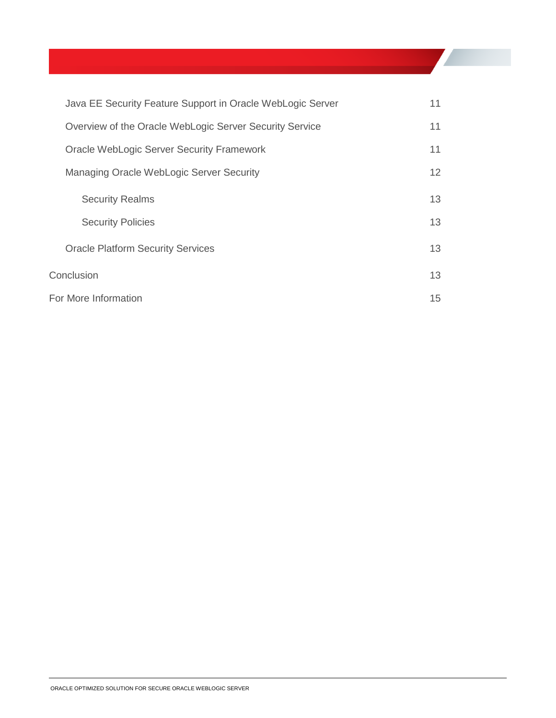|            | Java EE Security Feature Support in Oracle WebLogic Server | 11              |
|------------|------------------------------------------------------------|-----------------|
|            | Overview of the Oracle WebLogic Server Security Service    | 11              |
|            | <b>Oracle WebLogic Server Security Framework</b>           | 11              |
|            | Managing Oracle WebLogic Server Security                   | 12 <sup>2</sup> |
|            | <b>Security Realms</b>                                     | 13              |
|            | <b>Security Policies</b>                                   | 13              |
|            | <b>Oracle Platform Security Services</b>                   | 13              |
| Conclusion |                                                            | 13              |
|            | For More Information                                       |                 |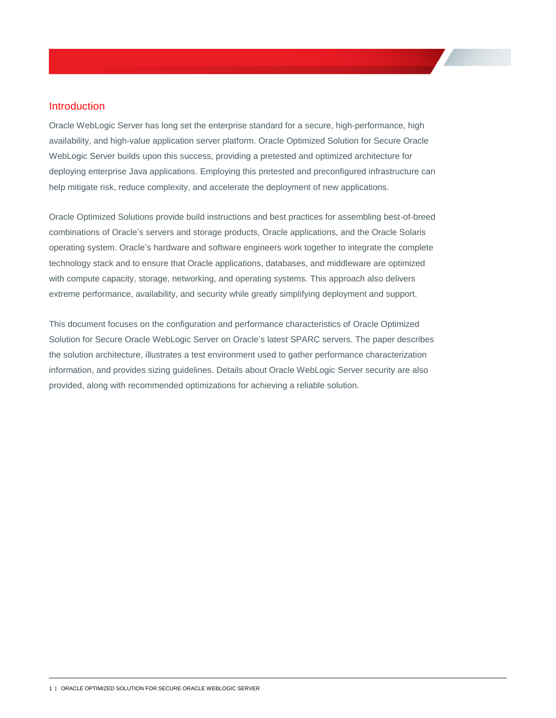## Introduction

Oracle WebLogic Server has long set the enterprise standard for a secure, high-performance, high availability, and high-value application server platform. Oracle Optimized Solution for Secure Oracle WebLogic Server builds upon this success, providing a pretested and optimized architecture for deploying enterprise Java applications. Employing this pretested and preconfigured infrastructure can help mitigate risk, reduce complexity, and accelerate the deployment of new applications.

Oracle Optimized Solutions provide build instructions and best practices for assembling best-of-breed combinations of Oracle's servers and storage products, Oracle applications, and the Oracle Solaris operating system. Oracle's hardware and software engineers work together to integrate the complete technology stack and to ensure that Oracle applications, databases, and middleware are optimized with compute capacity, storage, networking, and operating systems. This approach also delivers extreme performance, availability, and security while greatly simplifying deployment and support.

This document focuses on the configuration and performance characteristics of Oracle Optimized Solution for Secure Oracle WebLogic Server on Oracle's latest SPARC servers. The paper describes the solution architecture, illustrates a test environment used to gather performance characterization information, and provides sizing guidelines. Details about Oracle WebLogic Server security are also provided, along with recommended optimizations for achieving a reliable solution.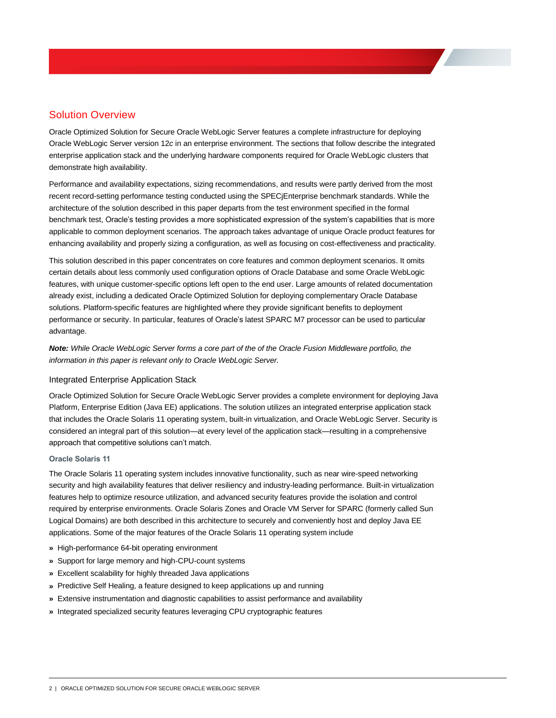# Solution Overview

Oracle Optimized Solution for Secure Oracle WebLogic Server features a complete infrastructure for deploying Oracle WebLogic Server version 12*c* in an enterprise environment. The sections that follow describe the integrated enterprise application stack and the underlying hardware components required for Oracle WebLogic clusters that demonstrate high availability.

Performance and availability expectations, sizing recommendations, and results were partly derived from the most recent record-setting performance testing conducted using the SPECjEnterprise benchmark standards. While the architecture of the solution described in this paper departs from the test environment specified in the formal benchmark test, Oracle's testing provides a more sophisticated expression of the system's capabilities that is more applicable to common deployment scenarios. The approach takes advantage of unique Oracle product features for enhancing availability and properly sizing a configuration, as well as focusing on cost-effectiveness and practicality.

This solution described in this paper concentrates on core features and common deployment scenarios. It omits certain details about less commonly used configuration options of Oracle Database and some Oracle WebLogic features, with unique customer-specific options left open to the end user. Large amounts of related documentation already exist, including a dedicated Oracle Optimized Solution for deploying complementary Oracle Database solutions. Platform-specific features are highlighted where they provide significant benefits to deployment performance or security. In particular, features of Oracle's latest SPARC M7 processor can be used to particular advantage.

*Note: While Oracle WebLogic Server forms a core part of the of the Oracle Fusion Middleware portfolio, the information in this paper is relevant only to Oracle WebLogic Server.*

#### Integrated Enterprise Application Stack

Oracle Optimized Solution for Secure Oracle WebLogic Server provides a complete environment for deploying Java Platform, Enterprise Edition (Java EE) applications. The solution utilizes an integrated enterprise application stack that includes the Oracle Solaris 11 operating system, built-in virtualization, and Oracle WebLogic Server. Security is considered an integral part of this solution—at every level of the application stack—resulting in a comprehensive approach that competitive solutions can't match.

#### **Oracle Solaris 11**

The Oracle Solaris 11 operating system includes innovative functionality, such as near wire-speed networking security and high availability features that deliver resiliency and industry-leading performance. Built-in virtualization features help to optimize resource utilization, and advanced security features provide the isolation and control required by enterprise environments. Oracle Solaris Zones and Oracle VM Server for SPARC (formerly called Sun Logical Domains) are both described in this architecture to securely and conveniently host and deploy Java EE applications. Some of the major features of the Oracle Solaris 11 operating system include

- **»** High-performance 64-bit operating environment
- **»** Support for large memory and high-CPU-count systems
- **»** Excellent scalability for highly threaded Java applications
- **»** Predictive Self Healing, a feature designed to keep applications up and running
- **»** Extensive instrumentation and diagnostic capabilities to assist performance and availability
- **»** Integrated specialized security features leveraging CPU cryptographic features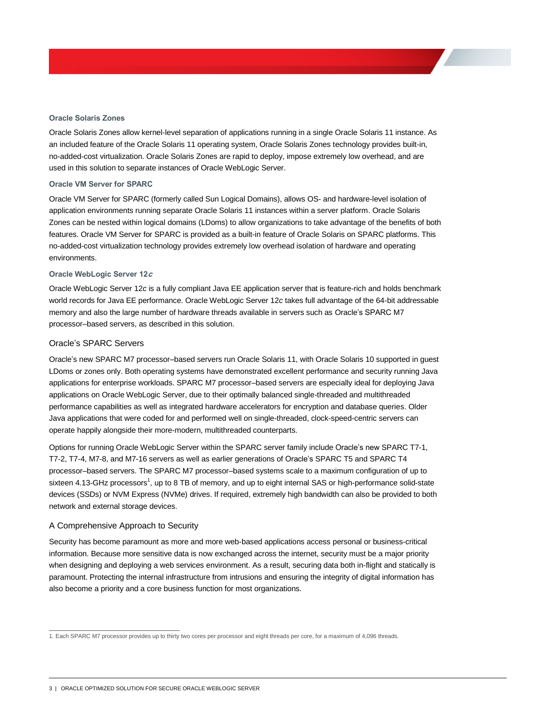#### **Oracle Solaris Zones**

Oracle Solaris Zones allow kernel-level separation of applications running in a single Oracle Solaris 11 instance. As an included feature of the Oracle Solaris 11 operating system, Oracle Solaris Zones technology provides built-in, no-added-cost virtualization. Oracle Solaris Zones are rapid to deploy, impose extremely low overhead, and are used in this solution to separate instances of Oracle WebLogic Server.

#### **Oracle VM Server for SPARC**

Oracle VM Server for SPARC (formerly called Sun Logical Domains), allows OS- and hardware-level isolation of application environments running separate Oracle Solaris 11 instances within a server platform. Oracle Solaris Zones can be nested within logical domains (LDoms) to allow organizations to take advantage of the benefits of both features. Oracle VM Server for SPARC is provided as a built-in feature of Oracle Solaris on SPARC platforms. This no-added-cost virtualization technology provides extremely low overhead isolation of hardware and operating environments.

#### **Oracle WebLogic Server 12<sup>c</sup>**

Oracle WebLogic Server 12*c* is a fully compliant Java EE application server that is feature-rich and holds benchmark world records for Java EE performance. Oracle WebLogic Server 12*c* takes full advantage of the 64-bit addressable memory and also the large number of hardware threads available in servers such as Oracle's SPARC M7 processor–based servers, as described in this solution.

#### Oracle's SPARC Servers

Oracle's new SPARC M7 processor–based servers run Oracle Solaris 11, with Oracle Solaris 10 supported in guest LDoms or zones only. Both operating systems have demonstrated excellent performance and security running Java applications for enterprise workloads. SPARC M7 processor–based servers are especially ideal for deploying Java applications on Oracle WebLogic Server, due to their optimally balanced single-threaded and multithreaded performance capabilities as well as integrated hardware accelerators for encryption and database queries. Older Java applications that were coded for and performed well on single-threaded, clock-speed-centric servers can operate happily alongside their more-modern, multithreaded counterparts.

Options for running Oracle WebLogic Server within the SPARC server family include Oracle's new SPARC T7-1, T7-2, T7-4, M7-8, and M7-16 servers as well as earlier generations of Oracle's SPARC T5 and SPARC T4 processor–based servers. The SPARC M7 processor–based systems scale to a maximum configuration of up to sixteen 4.13-GHz processors<sup>1</sup>, up to 8 TB of memory, and up to eight internal SAS or high-performance solid-state devices (SSDs) or NVM Express (NVMe) drives. If required, extremely high bandwidth can also be provided to both network and external storage devices.

#### A Comprehensive Approach to Security

Security has become paramount as more and more web-based applications access personal or business-critical information. Because more sensitive data is now exchanged across the internet, security must be a major priority when designing and deploying a web services environment. As a result, securing data both in-flight and statically is paramount. Protecting the internal infrastructure from intrusions and ensuring the integrity of digital information has also become a priority and a core business function for most organizations.

 1. Each SPARC M7 processor provides up to thirty two cores per processor and eight threads per core, for a maximum of 4,096 threads.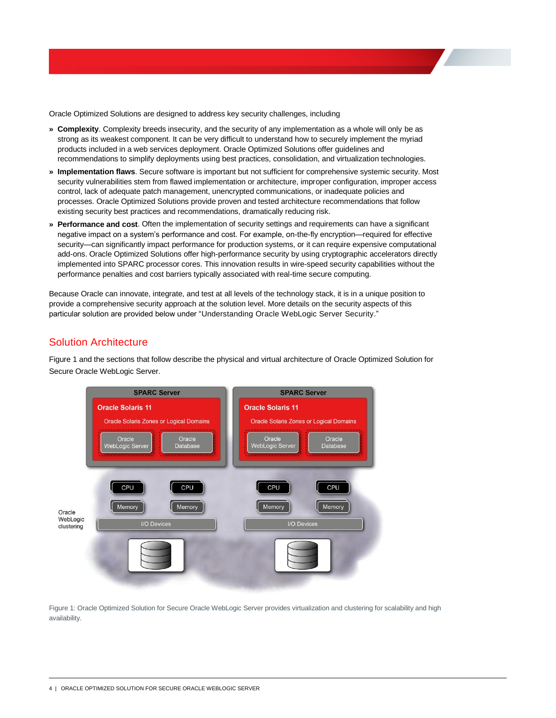Oracle Optimized Solutions are designed to address key security challenges, including

- **» Complexity**. Complexity breeds insecurity, and the security of any implementation as a whole will only be as strong as its weakest component. It can be very difficult to understand how to securely implement the myriad products included in a web services deployment. Oracle Optimized Solutions offer guidelines and recommendations to simplify deployments using best practices, consolidation, and virtualization technologies.
- **» Implementation flaws**. Secure software is important but not sufficient for comprehensive systemic security. Most security vulnerabilities stem from flawed implementation or architecture, improper configuration, improper access control, lack of adequate patch management, unencrypted communications, or inadequate policies and processes. Oracle Optimized Solutions provide proven and tested architecture recommendations that follow existing security best practices and recommendations, dramatically reducing risk.
- **» Performance and cost**. Often the implementation of security settings and requirements can have a significant negative impact on a system's performance and cost. For example, on-the-fly encryption—required for effective security—can significantly impact performance for production systems, or it can require expensive computational add-ons. Oracle Optimized Solutions offer high-performance security by using cryptographic accelerators directly implemented into SPARC processor cores. This innovation results in wire-speed security capabilities without the performance penalties and cost barriers typically associated with real-time secure computing.

Because Oracle can innovate, integrate, and test at all levels of the technology stack, it is in a unique position to provide a comprehensive security approach at the solution level. More details on the security aspects of this particular solution are provided below under ["Understanding Oracle WebLogic Server Security.](#page-13-0)"

## Solution Architecture

Figure 1 and the sections that follow describe the physical and virtual architecture of Oracle Optimized Solution for Secure Oracle WebLogic Server.



Figure 1: Oracle Optimized Solution for Secure Oracle WebLogic Server provides virtualization and clustering for scalability and high availability.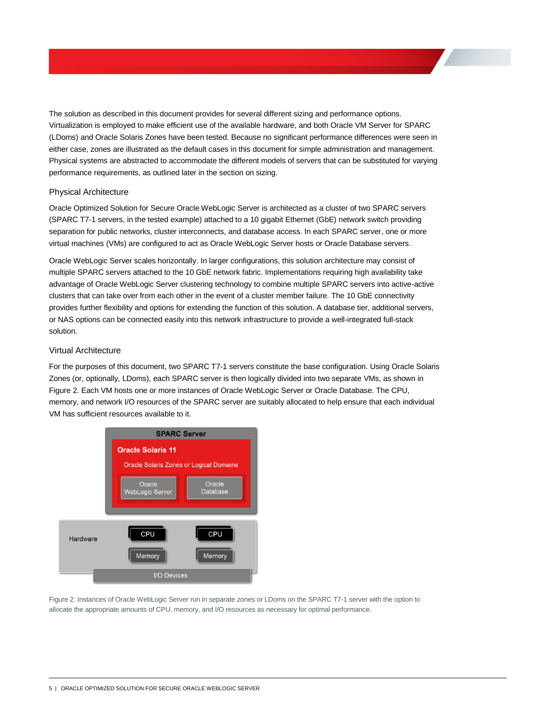The solution as described in this document provides for several different sizing and performance options. Virtualization is employed to make efficient use of the available hardware, and both Oracle VM Server for SPARC (LDoms) and Oracle Solaris Zones have been tested. Because no significant performance differences were seen in either case, zones are illustrated as the default cases in this document for simple administration and management. Physical systems are abstracted to accommodate the different models of servers that can be substituted for varying performance requirements, as outlined later in the section on sizing.

#### Physical Architecture

Oracle Optimized Solution for Secure Oracle WebLogic Server is architected as a cluster of two SPARC servers (SPARC T7-1 servers, in the tested example) attached to a 10 gigabit Ethernet (GbE) network switch providing separation for public networks, cluster interconnects, and database access. In each SPARC server, one or more virtual machines (VMs) are configured to act as Oracle WebLogic Server hosts or Oracle Database servers.

Oracle WebLogic Server scales horizontally. In larger configurations, this solution architecture may consist of multiple SPARC servers attached to the 10 GbE network fabric. Implementations requiring high availability take advantage of Oracle WebLogic Server clustering technology to combine multiple SPARC servers into active-active clusters that can take over from each other in the event of a cluster member failure. The 10 GbE connectivity provides further flexibility and options for extending the function of this solution. A database tier, additional servers, or NAS options can be connected easily into this network infrastructure to provide a well-integrated full-stack solution.

#### Virtual Architecture

For the purposes of this document, two SPARC T7-1 servers constitute the base configuration. Using Oracle Solaris Zones (or, optionally, LDoms), each SPARC server is then logically divided into two separate VMs, as shown in Figure 2. Each VM hosts one or more instances of Oracle WebLogic Server or Oracle Database. The CPU, memory, and network I/O resources of the SPARC server are suitably allocated to help ensure that each individual VM has sufficient resources available to it.



Figure 2: Instances of Oracle WebLogic Server run in separate zones or LDoms on the SPARC T7-1 server with the option to allocate the appropriate amounts of CPU, memory, and I/O resources as necessary for optimal performance.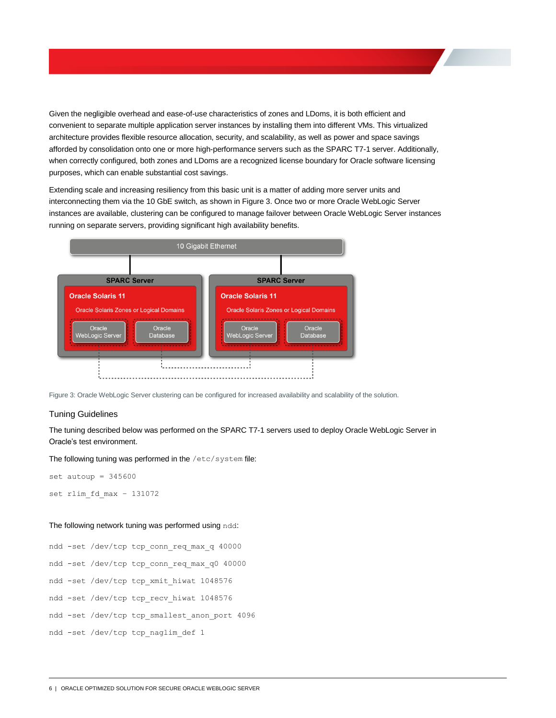Given the negligible overhead and ease-of-use characteristics of zones and LDoms, it is both efficient and convenient to separate multiple application server instances by installing them into different VMs. This virtualized architecture provides flexible resource allocation, security, and scalability, as well as power and space savings afforded by consolidation onto one or more high-performance servers such as the SPARC T7-1 server. Additionally, when correctly configured, both zones and LDoms are a recognized license boundary for Oracle software licensing purposes, which can enable substantial cost savings.

Extending scale and increasing resiliency from this basic unit is a matter of adding more server units and interconnecting them via the 10 GbE switch, as shown in Figure 3. Once two or more Oracle WebLogic Server instances are available, clustering can be configured to manage failover between Oracle WebLogic Server instances running on separate servers, providing significant high availability benefits.



Figure 3: Oracle WebLogic Server clustering can be configured for increased availability and scalability of the solution.

#### Tuning Guidelines

The tuning described below was performed on the SPARC T7-1 servers used to deploy Oracle WebLogic Server in Oracle's test environment.

The following tuning was performed in the /etc/system file:

```
set autoup = 345600set rlim_fd_max – 131072
```
#### The following network tuning was performed using ndd:

ndd -set /dev/tcp tcp\_conn\_req\_max\_q 40000 ndd -set /dev/tcp tcp\_conn\_req\_max\_q0 40000 ndd -set /dev/tcp tcp\_xmit\_hiwat 1048576 ndd -set /dev/tcp tcp\_recv\_hiwat 1048576 ndd -set /dev/tcp tcp\_smallest\_anon\_port 4096 ndd -set /dev/tcp tcp\_naglim\_def 1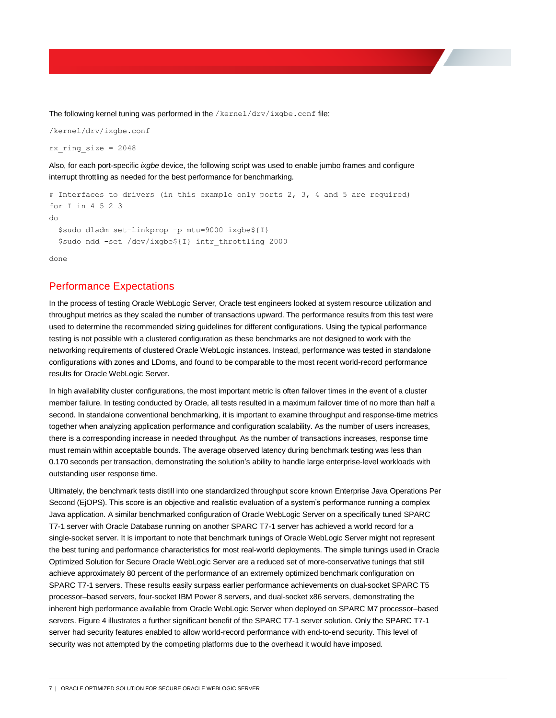The following kernel tuning was performed in the /kernel/drv/ixgbe.conf file:

/kernel/drv/ixgbe.conf

rx ring size =  $2048$ 

Also, for each port-specific *ixgbe* device, the following script was used to enable jumbo frames and configure interrupt throttling as needed for the best performance for benchmarking.

```
# Interfaces to drivers (in this example only ports 2, 3, 4 and 5 are required)
for I in 4 5 2 3
do
  $sudo dladm set-linkprop -p mtu=9000 ixgbe${I}
  $sudo ndd -set /dev/ixgbe${I} intr_throttling 2000
```
done

## Performance Expectations

In the process of testing Oracle WebLogic Server, Oracle test engineers looked at system resource utilization and throughput metrics as they scaled the number of transactions upward. The performance results from this test were used to determine the recommended sizing guidelines for different configurations. Using the typical performance testing is not possible with a clustered configuration as these benchmarks are not designed to work with the networking requirements of clustered Oracle WebLogic instances. Instead, performance was tested in standalone configurations with zones and LDoms, and found to be comparable to the most recent world-record performance results for Oracle WebLogic Server.

In high availability cluster configurations, the most important metric is often failover times in the event of a cluster member failure. In testing conducted by Oracle, all tests resulted in a maximum failover time of no more than half a second. In standalone conventional benchmarking, it is important to examine throughput and response-time metrics together when analyzing application performance and configuration scalability. As the number of users increases, there is a corresponding increase in needed throughput. As the number of transactions increases, response time must remain within acceptable bounds. The average observed latency during benchmark testing was less than 0.170 seconds per transaction, demonstrating the solution's ability to handle large enterprise-level workloads with outstanding user response time.

Ultimately, the benchmark tests distill into one standardized throughput score known Enterprise Java Operations Per Second (EjOPS). This score is an objective and realistic evaluation of a system's performance running a complex Java application. A similar benchmarked configuration of Oracle WebLogic Server on a specifically tuned SPARC T7-1 server with Oracle Database running on another SPARC T7-1 server has achieved a world record for a single-socket server. It is important to note that benchmark tunings of Oracle WebLogic Server might not represent the best tuning and performance characteristics for most real-world deployments. The simple tunings used in Oracle Optimized Solution for Secure Oracle WebLogic Server are a reduced set of more-conservative tunings that still achieve approximately 80 percent of the performance of an extremely optimized benchmark configuration on SPARC T7-1 servers. These results easily surpass earlier performance achievements on dual-socket SPARC T5 processor–based servers, four-socket IBM Power 8 servers, and dual-socket x86 servers, demonstrating the inherent high performance available from Oracle WebLogic Server when deployed on SPARC M7 processor–based servers. Figure 4 illustrates a further significant benefit of the SPARC T7-1 server solution. Only the SPARC T7-1 server had security features enabled to allow world-record performance with end-to-end security. This level of security was not attempted by the competing platforms due to the overhead it would have imposed.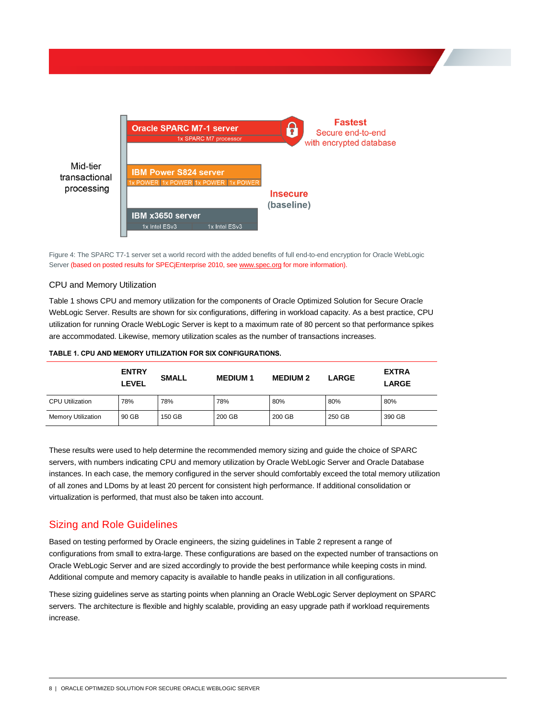

Figure 4: The SPARC T7-1 server set a world record with the added benefits of full end-to-end encryption for Oracle WebLogic Server (based on posted results for SPECjEnterprise 2010, se[e www.spec.org](http://www.spec.org/) for more information).

#### CPU and Memory Utilization

Table 1 shows CPU and memory utilization for the components of Oracle Optimized Solution for Secure Oracle WebLogic Server. Results are shown for six configurations, differing in workload capacity. As a best practice, CPU utilization for running Oracle WebLogic Server is kept to a maximum rate of 80 percent so that performance spikes are accommodated. Likewise, memory utilization scales as the number of transactions increases.

|                           | <b>ENTRY</b><br>LEVEL | <b>SMALL</b> | <b>MEDIUM1</b> | <b>MEDIUM 2</b> | <b>LARGE</b> | <b>EXTRA</b><br><b>LARGE</b> |
|---------------------------|-----------------------|--------------|----------------|-----------------|--------------|------------------------------|
| <b>CPU Utilization</b>    | 78%                   | 78%          | 78%            | 80%             | 80%          | 80%                          |
| <b>Memory Utilization</b> | 90 GB                 | 150 GB       | 200 GB         | 200 GB          | 250 GB       | 390 GB                       |

**TABLE 1. CPU AND MEMORY UTILIZATION FOR SIX CONFIGURATIONS.**

These results were used to help determine the recommended memory sizing and guide the choice of SPARC servers, with numbers indicating CPU and memory utilization by Oracle WebLogic Server and Oracle Database instances. In each case, the memory configured in the server should comfortably exceed the total memory utilization of all zones and LDoms by at least 20 percent for consistent high performance. If additional consolidation or virtualization is performed, that must also be taken into account.

# Sizing and Role Guidelines

Based on testing performed by Oracle engineers, the sizing guidelines in Table 2 represent a range of configurations from small to extra-large. These configurations are based on the expected number of transactions on Oracle WebLogic Server and are sized accordingly to provide the best performance while keeping costs in mind. Additional compute and memory capacity is available to handle peaks in utilization in all configurations.

These sizing guidelines serve as starting points when planning an Oracle WebLogic Server deployment on SPARC servers. The architecture is flexible and highly scalable, providing an easy upgrade path if workload requirements increase.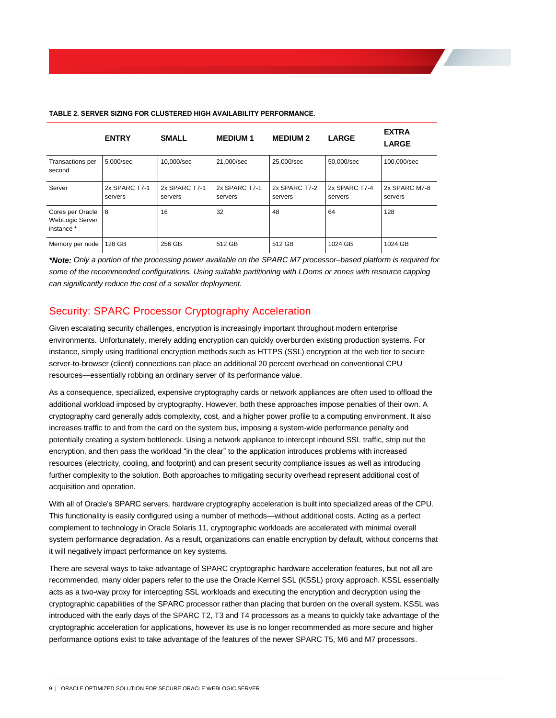|                                                   | <b>ENTRY</b>             | <b>SMALL</b>             | <b>MEDIUM1</b>           | <b>MEDIUM 2</b>          | <b>LARGE</b>             | <b>EXTRA</b><br><b>LARGE</b> |
|---------------------------------------------------|--------------------------|--------------------------|--------------------------|--------------------------|--------------------------|------------------------------|
| Transactions per<br>second                        | 5,000/sec                | 10,000/sec               | 21,000/sec               | 25,000/sec               | 50,000/sec               | 100,000/sec                  |
| Server                                            | 2x SPARC T7-1<br>servers | 2x SPARC T7-1<br>servers | 2x SPARC T7-1<br>servers | 2x SPARC T7-2<br>servers | 2x SPARC T7-4<br>servers | 2x SPARC M7-8<br>servers     |
| Cores per Oracle<br>WebLogic Server<br>instance * | 8                        | 16                       | 32                       | 48                       | 64                       | 128                          |
| Memory per node                                   | 128 GB                   | 256 GB                   | 512 GB                   | 512 GB                   | 1024 GB                  | 1024 GB                      |

#### **TABLE 2. SERVER SIZING FOR CLUSTERED HIGH AVAILABILITY PERFORMANCE.**

*\*Note: Only a portion of the processing power available on the SPARC M7 processor–based platform is required for some of the recommended configurations. Using suitable partitioning with LDoms or zones with resource capping can significantly reduce the cost of a smaller deployment.*

# Security: SPARC Processor Cryptography Acceleration

Given escalating security challenges, encryption is increasingly important throughout modern enterprise environments. Unfortunately, merely adding encryption can quickly overburden existing production systems. For instance, simply using traditional encryption methods such as HTTPS (SSL) encryption at the web tier to secure server-to-browser (client) connections can place an additional 20 percent overhead on conventional CPU resources—essentially robbing an ordinary server of its performance value.

As a consequence, specialized, expensive cryptography cards or network appliances are often used to offload the additional workload imposed by cryptography. However, both these approaches impose penalties of their own. A cryptography card generally adds complexity, cost, and a higher power profile to a computing environment. It also increases traffic to and from the card on the system bus, imposing a system-wide performance penalty and potentially creating a system bottleneck. Using a network appliance to intercept inbound SSL traffic, strip out the encryption, and then pass the workload "in the clear" to the application introduces problems with increased resources (electricity, cooling, and footprint) and can present security compliance issues as well as introducing further complexity to the solution. Both approaches to mitigating security overhead represent additional cost of acquisition and operation.

With all of Oracle's SPARC servers, hardware cryptography acceleration is built into specialized areas of the CPU. This functionality is easily configured using a number of methods—without additional costs. Acting as a perfect complement to technology in Oracle Solaris 11, cryptographic workloads are accelerated with minimal overall system performance degradation. As a result, organizations can enable encryption by default, without concerns that it will negatively impact performance on key systems.

There are several ways to take advantage of SPARC cryptographic hardware acceleration features, but not all are recommended, many older papers refer to the use the Oracle Kernel SSL (KSSL) proxy approach. KSSL essentially acts as a two-way proxy for intercepting SSL workloads and executing the encryption and decryption using the cryptographic capabilities of the SPARC processor rather than placing that burden on the overall system. KSSL was introduced with the early days of the SPARC T2, T3 and T4 processors as a means to quickly take advantage of the cryptographic acceleration for applications, however its use is no longer recommended as more secure and higher performance options exist to take advantage of the features of the newer SPARC T5, M6 and M7 processors.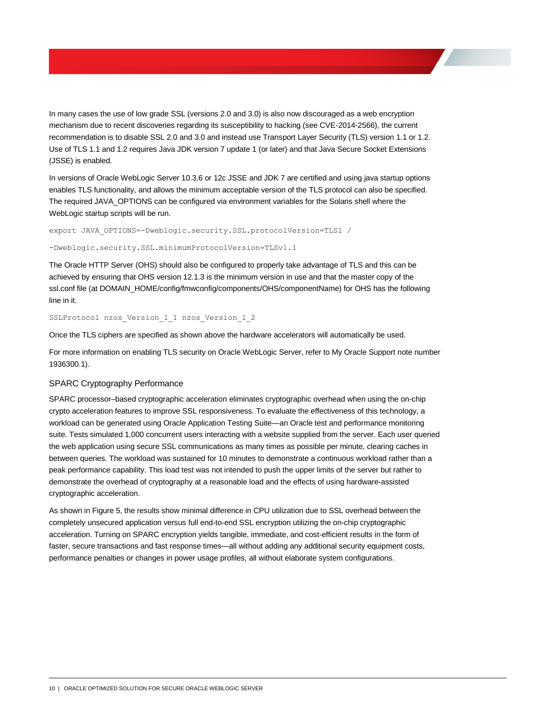In many cases the use of low grade SSL (versions 2.0 and 3.0) is also now discouraged as a web encryption mechanism due to recent discoveries regarding its susceptibility to hacking (see CVE-2014-2566), the current recommendation is to disable SSL 2.0 and 3.0 and instead use Transport Layer Security (TLS) version 1.1 or 1.2. Use of TLS 1.1 and 1.2 requires Java JDK version 7 update 1 (or later) and that Java Secure Socket Extensions (JSSE) is enabled.

In versions of Oracle WebLogic Server 10.3.6 or 12c JSSE and JDK 7 are certified and using java startup options enables TLS functionality, and allows the minimum acceptable version of the TLS protocol can also be specified. The required JAVA\_OPTIONS can be configured via environment variables for the Solaris shell where the WebLogic startup scripts will be run.

export JAVA\_OPTIONS=-Dweblogic.security.SSL.protocolVersion=TLS1 /

-Dweblogic.security.SSL.minimumProtocolVersion=TLSv1.1

The Oracle HTTP Server (OHS) should also be configured to properly take advantage of TLS and this can be achieved by ensuring that OHS version 12.1.3 is the minimum version in use and that the master copy of the ssl.conf file (at DOMAIN\_HOME/config/fmwconfig/components/OHS/componentName) for OHS has the following line in it.

SSLProtocol nzos Version 1 1 nzos Version 1 2

Once the TLS ciphers are specified as shown above the hardware accelerators will automatically be used.

For more information on enabling TLS security on Oracle WebLogic Server, refer to My Oracle Support note number 1936300.1).

#### SPARC Cryptography Performance

SPARC processor–based cryptographic acceleration eliminates cryptographic overhead when using the on-chip crypto acceleration features to improve SSL responsiveness. To evaluate the effectiveness of this technology, a workload can be generated using Oracle Application Testing Suite—an Oracle test and performance monitoring suite. Tests simulated 1,000 concurrent users interacting with a website supplied from the server. Each user queried the web application using secure SSL communications as many times as possible per minute, clearing caches in between queries. The workload was sustained for 10 minutes to demonstrate a continuous workload rather than a peak performance capability. This load test was not intended to push the upper limits of the server but rather to demonstrate the overhead of cryptography at a reasonable load and the effects of using hardware-assisted cryptographic acceleration.

As shown in Figure 5, the results show minimal difference in CPU utilization due to SSL overhead between the completely unsecured application versus full end-to-end SSL encryption utilizing the on-chip cryptographic acceleration. Turning on SPARC encryption yields tangible, immediate, and cost-efficient results in the form of faster, secure transactions and fast response times—all without adding any additional security equipment costs, performance penalties or changes in power usage profiles, all without elaborate system configurations.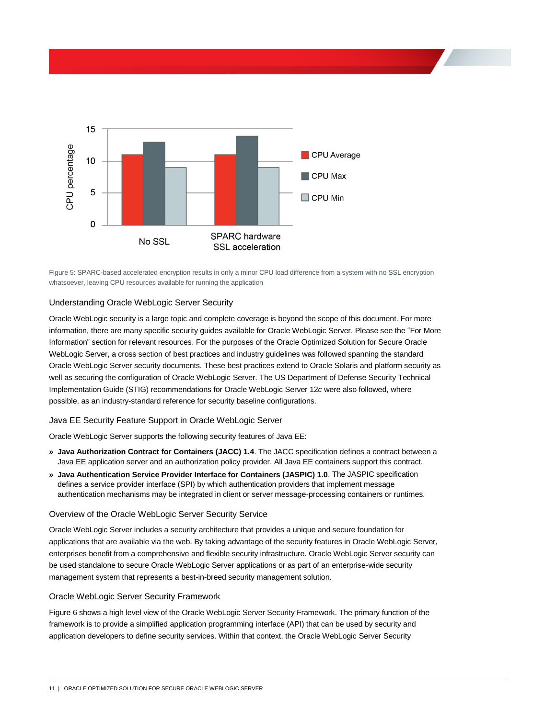

Figure 5: SPARC-based accelerated encryption results in only a minor CPU load difference from a system with no SSL encryption whatsoever, leaving CPU resources available for running the application

#### <span id="page-13-0"></span>Understanding Oracle WebLogic Server Security

Oracle WebLogic security is a large topic and complete coverage is beyond the scope of this document. For more information, there are many specific security guides available for Oracle WebLogic Server. Please see the ["For More](#page-17-0)  [Information"](#page-17-0) section for relevant resources. For the purposes of the Oracle Optimized Solution for Secure Oracle WebLogic Server, a cross section of best practices and industry guidelines was followed spanning the standard Oracle WebLogic Server security documents. These best practices extend to Oracle Solaris and platform security as well as securing the configuration of Oracle WebLogic Server. The US Department of Defense Security Technical Implementation Guide (STIG) recommendations for Oracle WebLogic Server 12*c* were also followed, where possible, as an industry-standard reference for security baseline configurations.

#### Java EE Security Feature Support in Oracle WebLogic Server

Oracle WebLogic Server supports the following security features of Java EE:

- **» Java Authorization Contract for Containers (JACC) 1.4**. The JACC specification defines a contract between a Java EE application server and an authorization policy provider. All Java EE containers support this contract.
- **» Java Authentication Service Provider Interface for Containers (JASPIC) 1.0**. The JASPIC specification defines a service provider interface (SPI) by which authentication providers that implement message authentication mechanisms may be integrated in client or server message-processing containers or runtimes.

#### Overview of the Oracle WebLogic Server Security Service

Oracle WebLogic Server includes a security architecture that provides a unique and secure foundation for applications that are available via the web. By taking advantage of the security features in Oracle WebLogic Server, enterprises benefit from a comprehensive and flexible security infrastructure. Oracle WebLogic Server security can be used standalone to secure Oracle WebLogic Server applications or as part of an enterprise-wide security management system that represents a best-in-breed security management solution.

### Oracle WebLogic Server Security Framework

Figure 6 shows a high level view of the Oracle WebLogic Server Security Framework. The primary function of the framework is to provide a simplified application programming interface (API) that can be used by security and application developers to define security services. Within that context, the Oracle WebLogic Server Security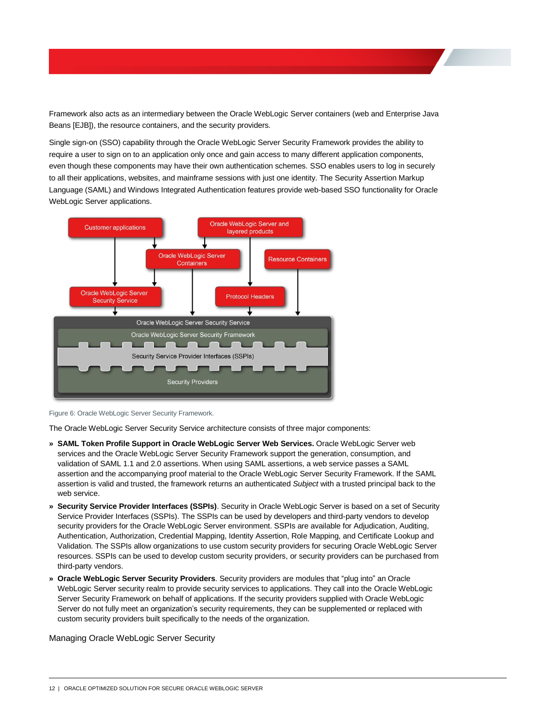Framework also acts as an intermediary between the Oracle WebLogic Server containers (web and Enterprise Java Beans [EJB]), the resource containers, and the security providers.

Single sign-on (SSO) capability through the Oracle WebLogic Server Security Framework provides the ability to require a user to sign on to an application only once and gain access to many different application components, even though these components may have their own authentication schemes. SSO enables users to log in securely to all their applications, websites, and mainframe sessions with just one identity. The Security Assertion Markup Language (SAML) and Windows Integrated Authentication features provide web-based SSO functionality for Oracle WebLogic Server applications.



Figure 6: Oracle WebLogic Server Security Framework.

The Oracle WebLogic Server Security Service architecture consists of three major components:

- **» SAML Token Profile Support in Oracle WebLogic Server Web Services.** Oracle WebLogic Server web services and the Oracle WebLogic Server Security Framework support the generation, consumption, and validation of SAML 1.1 and 2.0 assertions. When using SAML assertions, a web service passes a SAML assertion and the accompanying proof material to the Oracle WebLogic Server Security Framework. If the SAML assertion is valid and trusted, the framework returns an authenticated *Subject* with a trusted principal back to the web service.
- **» Security Service Provider Interfaces (SSPIs)**. Security in Oracle WebLogic Server is based on a set of Security Service Provider Interfaces (SSPIs). The SSPIs can be used by developers and third-party vendors to develop security providers for the Oracle WebLogic Server environment. SSPIs are available for Adjudication, Auditing, Authentication, Authorization, Credential Mapping, Identity Assertion, Role Mapping, and Certificate Lookup and Validation. The SSPIs allow organizations to use custom security providers for securing Oracle WebLogic Server resources. SSPIs can be used to develop custom security providers, or security providers can be purchased from third-party vendors.
- **» Oracle WebLogic Server Security Providers**. Security providers are modules that "plug into" an Oracle WebLogic Server security realm to provide security services to applications. They call into the Oracle WebLogic Server Security Framework on behalf of applications. If the security providers supplied with Oracle WebLogic Server do not fully meet an organization's security requirements, they can be supplemented or replaced with custom security providers built specifically to the needs of the organization.

Managing Oracle WebLogic Server Security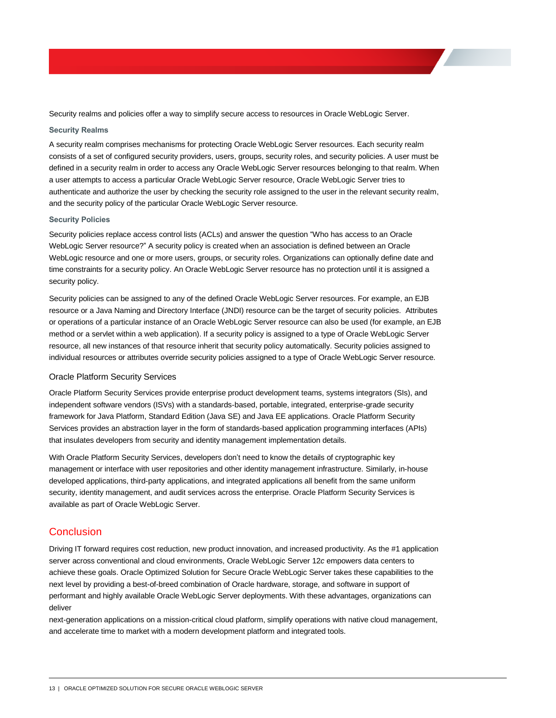Security realms and policies offer a way to simplify secure access to resources in Oracle WebLogic Server.

#### **Security Realms**

A security realm comprises mechanisms for protecting Oracle WebLogic Server resources. Each security realm consists of a set of configured security providers, users, groups, security roles, and security policies. A user must be defined in a security realm in order to access any Oracle WebLogic Server resources belonging to that realm. When a user attempts to access a particular Oracle WebLogic Server resource, Oracle WebLogic Server tries to authenticate and authorize the user by checking the security role assigned to the user in the relevant security realm, and the security policy of the particular Oracle WebLogic Server resource.

#### **Security Policies**

Security policies replace access control lists (ACLs) and answer the question "Who has access to an Oracle WebLogic Server resource?" A security policy is created when an association is defined between an Oracle WebLogic resource and one or more users, groups, or security roles. Organizations can optionally define date and time constraints for a security policy. An Oracle WebLogic Server resource has no protection until it is assigned a security policy.

Security policies can be assigned to any of the defined Oracle WebLogic Server resources. For example, an EJB resource or a Java Naming and Directory Interface (JNDI) resource can be the target of security policies. Attributes or operations of a particular instance of an Oracle WebLogic Server resource can also be used (for example, an EJB method or a servlet within a web application). If a security policy is assigned to a type of Oracle WebLogic Server resource, all new instances of that resource inherit that security policy automatically. Security policies assigned to individual resources or attributes override security policies assigned to a type of Oracle WebLogic Server resource.

#### Oracle Platform Security Services

Oracle Platform Security Services provide enterprise product development teams, systems integrators (SIs), and independent software vendors (ISVs) with a standards-based, portable, integrated, enterprise-grade security framework for Java Platform, Standard Edition (Java SE) and Java EE applications. Oracle Platform Security Services provides an abstraction layer in the form of standards-based application programming interfaces (APIs) that insulates developers from security and identity management implementation details.

With Oracle Platform Security Services, developers don't need to know the details of cryptographic key management or interface with user repositories and other identity management infrastructure. Similarly, in-house developed applications, third-party applications, and integrated applications all benefit from the same uniform security, identity management, and audit services across the enterprise. Oracle Platform Security Services is available as part of Oracle WebLogic Server.

#### **Conclusion**

Driving IT forward requires cost reduction, new product innovation, and increased productivity. As the #1 application server across conventional and cloud environments, Oracle WebLogic Server 12*c* empowers data centers to achieve these goals. Oracle Optimized Solution for Secure Oracle WebLogic Server takes these capabilities to the next level by providing a best-of-breed combination of Oracle hardware, storage, and software in support of performant and highly available Oracle WebLogic Server deployments. With these advantages, organizations can deliver

next-generation applications on a mission-critical cloud platform, simplify operations with native cloud management, and accelerate time to market with a modern development platform and integrated tools.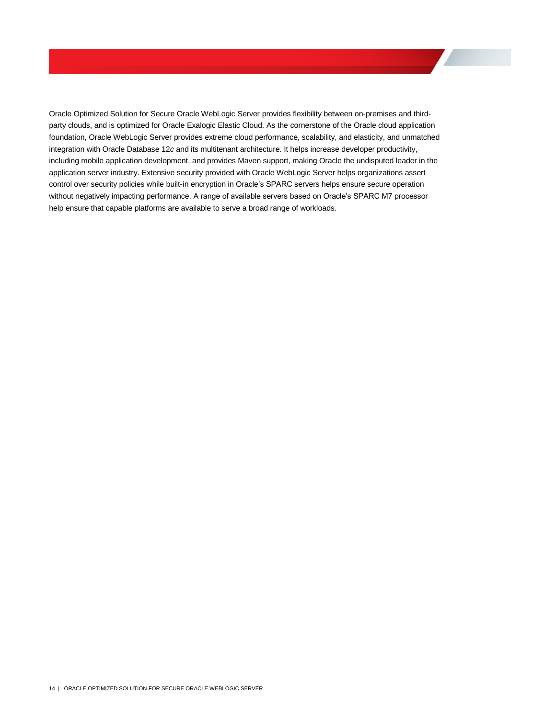Oracle Optimized Solution for Secure Oracle WebLogic Server provides flexibility between on-premises and thirdparty clouds, and is optimized for Oracle Exalogic Elastic Cloud. As the cornerstone of the Oracle cloud application foundation, Oracle WebLogic Server provides extreme cloud performance, scalability, and elasticity, and unmatched integration with Oracle Database 12*c* and its multitenant architecture. It helps increase developer productivity, including mobile application development, and provides Maven support, making Oracle the undisputed leader in the application server industry. Extensive security provided with Oracle WebLogic Server helps organizations assert control over security policies while built-in encryption in Oracle's SPARC servers helps ensure secure operation without negatively impacting performance. A range of available servers based on Oracle's SPARC M7 processor help ensure that capable platforms are available to serve a broad range of workloads.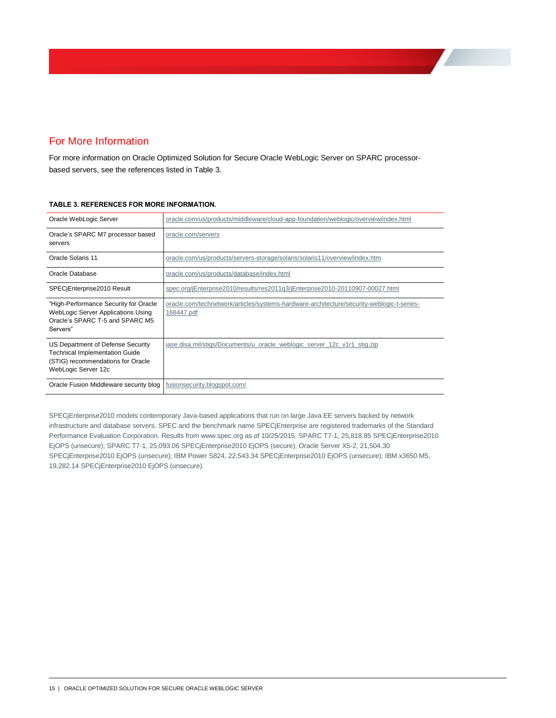# <span id="page-17-0"></span>For More Information

For more information on Oracle Optimized Solution for Secure Oracle WebLogic Server on SPARC processorbased servers, see the references listed in Table 3.

| Oracle WebLogic Server                                                                                                                 | oracle.com/us/products/middleware/cloud-app-foundation/weblogic/overview/index.html                     |
|----------------------------------------------------------------------------------------------------------------------------------------|---------------------------------------------------------------------------------------------------------|
| Oracle's SPARC M7 processor based<br>servers                                                                                           | oracle.com/servers                                                                                      |
| Oracle Solaris 11                                                                                                                      | oracle.com/us/products/servers-storage/solaris/solaris11/overview/index.htm                             |
| Oracle Database                                                                                                                        | oracle.com/us/products/database/index.html                                                              |
| SPECiEnterprise2010 Result                                                                                                             | spec.org/jEnterprise2010/results/res2011g3/jEnterprise2010-20110907-00027.html                          |
| "High-Performance Security for Oracle"<br>WebLogic Server Applications Using<br>Oracle's SPARC T-5 and SPARC M5<br>Servers"            | oracle.com/technetwork/articles/systems-hardware-architecture/security-weblogic-t-series-<br>168447.pdf |
| US Department of Defense Security<br><b>Technical Implementation Guide</b><br>(STIG) recommendations for Oracle<br>WebLogic Server 12c | iase.disa.mil/stigs/Documents/u oracle weblogic server 12c v1r1 stig.zip                                |
| Oracle Fusion Middleware security blog                                                                                                 | fusionsecurity.blogspot.com/                                                                            |

#### **TABLE 3. REFERENCES FOR MORE INFORMATION.**

SPECjEnterprise2010 models contemporary Java-based applications that run on large Java EE servers backed by network infrastructure and database servers. SPEC and the benchmark name SPECjEnterprise are registered trademarks of the Standard Performance Evaluation Corporation. Results from www.spec.org as of 10/25/2015. SPARC T7-1, 25,818.85 SPECjEnterprise2010 EjOPS (unsecure); SPARC T7-1, 25,093.06 SPECjEnterprise2010 EjOPS (secure); Oracle Server X5-2, 21,504.30 SPECjEnterprise2010 EjOPS (unsecure); IBM Power S824, 22,543.34 SPECjEnterprise2010 EjOPS (unsecure); IBM x3650 M5, 19,282.14 SPECjEnterprise2010 EjOPS (unsecure).